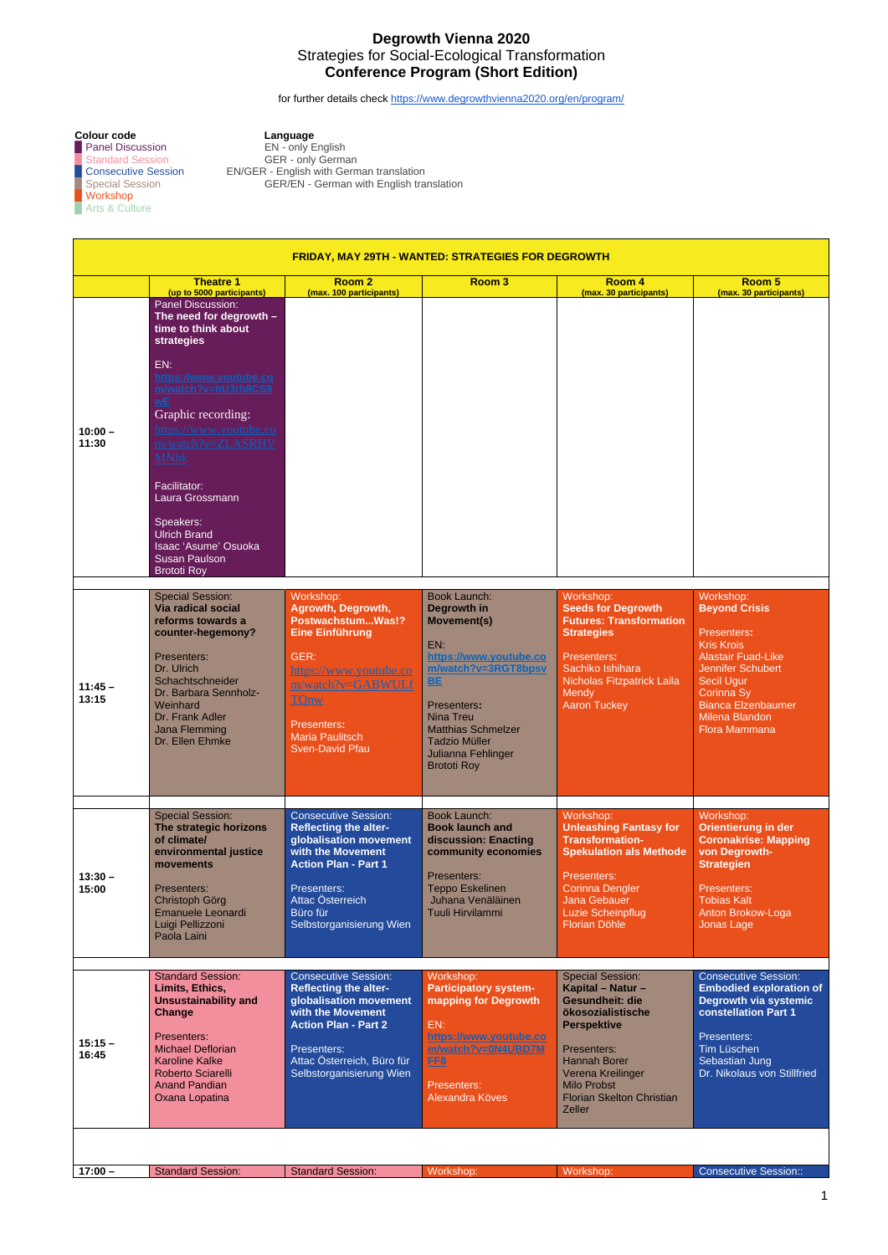1

## **Degrowth Vienna 2020** Strategies for Social-Ecological Transformation **Conference Program (Short Edition)**

for further details check <https://www.degrowthvienna2020.org/en/program/>

**Colour code**<br>
Panel Discussion<br>
Language<br>
EN - only English ■ Panel Discussion EN - only English ■ Standard Session GER - only German ▉ Consecutive Session EN/GER - English with German translation ▉ Special Session GER/EN - German with English translation

▉ Workshop ■ Arts & Culture

| <b>FRIDAY, MAY 29TH - WANTED: STRATEGIES FOR DEGROWTH</b> |                                                                                                                                                                                                                                                                                                                                                                                                       |                                                                                                                                                                                                                      |                                                                                                                                                                                                                                                                   |                                                                                                                                                                                                                     |                                                                                                                                                                                                                            |  |
|-----------------------------------------------------------|-------------------------------------------------------------------------------------------------------------------------------------------------------------------------------------------------------------------------------------------------------------------------------------------------------------------------------------------------------------------------------------------------------|----------------------------------------------------------------------------------------------------------------------------------------------------------------------------------------------------------------------|-------------------------------------------------------------------------------------------------------------------------------------------------------------------------------------------------------------------------------------------------------------------|---------------------------------------------------------------------------------------------------------------------------------------------------------------------------------------------------------------------|----------------------------------------------------------------------------------------------------------------------------------------------------------------------------------------------------------------------------|--|
|                                                           | <b>Theatre 1</b><br>(up to 5000 participants)                                                                                                                                                                                                                                                                                                                                                         | Room <sub>2</sub><br>(max. 100 participants)                                                                                                                                                                         | Room <sub>3</sub>                                                                                                                                                                                                                                                 | Room 4<br>(max. 30 participants)                                                                                                                                                                                    | Room 5<br>(max. 30 participants)                                                                                                                                                                                           |  |
| $10:00 -$<br>11:30                                        | <b>Panel Discussion:</b><br>The need for degrowth -<br>time to think about<br><b>strategies</b><br>EN:<br>https://www.youtube.co<br>m/watch?v=hU3rh8CS9<br><b>wE</b><br>Graphic recording:<br>https://www.youtube.co<br>m/watch?v=ZLASRHV<br><b>MNhk</b><br>Facilitator:<br>Laura Grossmann<br>Speakers:<br><b>Ulrich Brand</b><br>Isaac 'Asume' Osuoka<br><b>Susan Paulson</b><br><b>Brototi Roy</b> |                                                                                                                                                                                                                      |                                                                                                                                                                                                                                                                   |                                                                                                                                                                                                                     |                                                                                                                                                                                                                            |  |
| $11:45 -$<br>13:15                                        | <b>Special Session:</b><br><b>Via radical social</b><br>reforms towards a<br>counter-hegemony?<br>Presenters:<br>Dr. Ulrich<br>Schachtschneider<br>Dr. Barbara Sennholz-<br>Weinhard<br>Dr. Frank Adler<br>Jana Flemming<br>Dr. Ellen Ehmke                                                                                                                                                           | Workshop:<br>Agrowth, Degrowth,<br>PostwachstumWas!?<br><b>Eine Einführung</b><br>GER:<br>https://www.youtube.co<br>m/watch?v=GABWULf<br><b>TQnw</b><br><b>Presenters:</b><br>Maria Paulitsch<br>Sven-David Pfau     | <b>Book Launch:</b><br>Degrowth in<br><b>Movement(s)</b><br>EN:<br>https://www.youtube.co<br>m/watch?v=3RGT8bpsv<br><b>BE</b><br><b>Presenters:</b><br>Nina Treu<br><b>Matthias Schmelzer</b><br><b>Tadzio Müller</b><br>Julianna Fehlinger<br><b>Brototi Roy</b> | Workshop:<br><b>Seeds for Degrowth</b><br><b>Futures: Transformation</b><br><b>Strategies</b><br>Presenters:<br>Sachiko Ishihara<br>Nicholas Fitzpatrick Laila<br>Mendy<br><b>Aaron Tuckey</b>                      | Workshop:<br><b>Beyond Crisis</b><br>Presenters:<br><b>Kris Krois</b><br><b>Alastair Fuad-Like</b><br><b>Jennifer Schubert</b><br>Secil Ugur<br>Corinna Sy<br>Bianca Elzenbaumer<br>Milena Blandon<br><b>Flora Mammana</b> |  |
| $13:30 -$<br>15:00                                        | <b>Special Session:</b><br>The strategic horizons<br>of climate/<br>environmental justice<br>movements<br>Presenters:<br>Christoph Görg<br>Emanuele Leonardi<br>Luigi Pellizzoni<br>Paola Laini                                                                                                                                                                                                       | <b>Consecutive Session:</b><br><b>Reflecting the alter-</b><br>globalisation movement<br>with the Movement<br><b>Action Plan - Part 1</b><br>Presenters:<br>Attac Österreich<br>Büro für<br>Selbstorganisierung Wien | <b>Book Launch:</b><br><b>Book launch and</b><br>discussion: Enacting<br>community economies<br>Presenters:<br><b>Teppo Eskelinen</b><br>Juhana Venäläinen<br>Tuuli Hirvilammi                                                                                    | Workshop:<br><b>Unleashing Fantasy for</b><br><b>Transformation-</b><br><b>Spekulation als Methode</b><br>Presenters:<br><b>Corinna Dengler</b><br><b>Jana Gebauer</b><br>Luzie Scheinpflug<br><b>Florian Döhle</b> | Workshop:<br>Orientierung in der<br><b>Coronakrise: Mapping</b><br>von Degrowth-<br><b>Strategien</b><br>Presenters:<br><b>Tobias Kalt</b><br>Anton Brokow-Loga<br>Jonas Lage                                              |  |

|                    | <b>Standard Session:</b>                                                                                                        | <b>Consecutive Session:</b>                                                                                | Workshop:                                                                                         | <b>Special Session:</b>                                                                                                     | <b>Consecutive Session:</b>                                                            |
|--------------------|---------------------------------------------------------------------------------------------------------------------------------|------------------------------------------------------------------------------------------------------------|---------------------------------------------------------------------------------------------------|-----------------------------------------------------------------------------------------------------------------------------|----------------------------------------------------------------------------------------|
| $15:15 -$<br>16:45 | Limits, Ethics,<br><b>Unsustainability and</b><br>Change                                                                        | <b>Reflecting the alter-</b><br>globalisation movement<br>with the Movement<br><b>Action Plan - Part 2</b> | <b>Participatory system-</b><br>mapping for Degrowth<br>EN:                                       | Kapital - Natur -<br><b>Gesundheit: die</b><br>ökosozialistische<br><b>Perspektive</b>                                      | <b>Embodied exploration of</b><br>Degrowth via systemic<br><b>constellation Part 1</b> |
|                    | Presenters:<br><b>Michael Deflorian</b><br><b>Karoline Kalke</b><br>Roberto Sciarelli<br><b>Anand Pandian</b><br>Oxana Lopatina | Presenters:<br>Attac Österreich, Büro für<br>Selbstorganisierung Wien                                      | https://www.youtube.co<br>m/watch?v=0N4UBD7M<br>FF <sub>8</sub><br>Presenters:<br>Alexandra Köves | Presenters:<br><b>Hannah Borer</b><br>Verena Kreilinger<br>Milo Probst<br><b>Florian Skelton Christian</b><br><b>Zeller</b> | Presenters:<br>Tim Lüschen<br>Sebastian Jung<br>Dr. Nikolaus von Stillfried            |
|                    |                                                                                                                                 |                                                                                                            |                                                                                                   |                                                                                                                             |                                                                                        |
| $17:00 -$          | <b>Standard Session:</b>                                                                                                        | <b>Standard Session:</b>                                                                                   | Workshop:                                                                                         | Workshop:                                                                                                                   | Consecutive Session::                                                                  |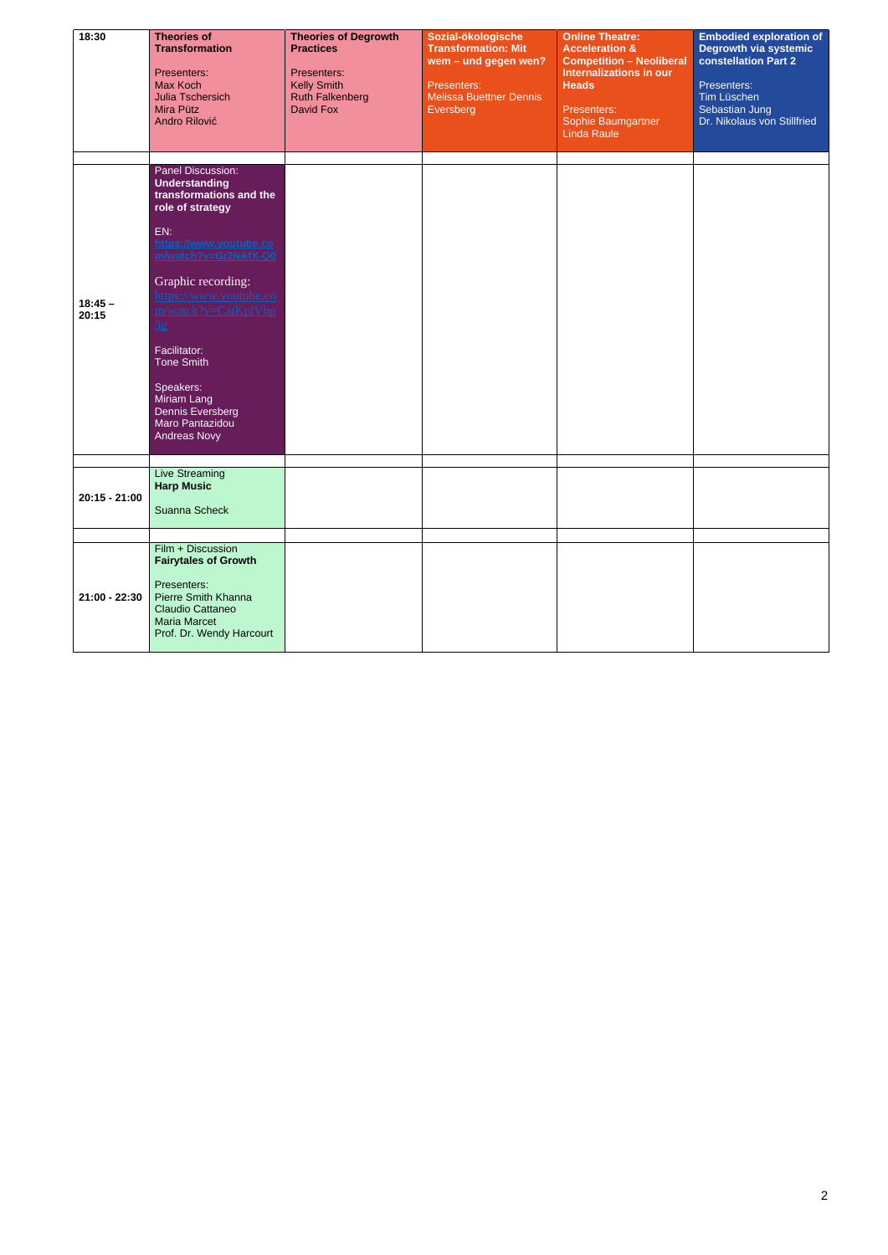| 18:30           | <b>Theories of</b>                               | <b>Theories of Degrowth</b>       | Sozial-ökologische             | <b>Online Theatre:</b>                                            | <b>Embodied exploration of</b> |
|-----------------|--------------------------------------------------|-----------------------------------|--------------------------------|-------------------------------------------------------------------|--------------------------------|
|                 | <b>Transformation</b>                            | <b>Practices</b>                  | <b>Transformation: Mit</b>     | <b>Acceleration &amp;</b>                                         | Degrowth via systemic          |
|                 |                                                  |                                   | wem - und gegen wen?           | <b>Competition - Neoliberal</b><br><b>Internalizations in our</b> | <b>constellation Part 2</b>    |
|                 | Presenters:<br><b>Max Koch</b>                   | Presenters:<br><b>Kelly Smith</b> | Presenters:                    | <b>Heads</b>                                                      | Presenters:                    |
|                 | Julia Tschersich                                 | <b>Ruth Falkenberg</b>            | <b>Melissa Buettner Dennis</b> |                                                                   | Tim Lüschen                    |
|                 | Mira Pütz                                        | <b>David Fox</b>                  | Eversberg                      | Presenters:                                                       | Sebastian Jung                 |
|                 | Andro Rilović                                    |                                   |                                | Sophie Baumgartner                                                | Dr. Nikolaus von Stillfried    |
|                 |                                                  |                                   |                                | <b>Linda Raule</b>                                                |                                |
|                 |                                                  |                                   |                                |                                                                   |                                |
|                 | Panel Discussion:                                |                                   |                                |                                                                   |                                |
|                 | <b>Understanding</b>                             |                                   |                                |                                                                   |                                |
|                 | transformations and the                          |                                   |                                |                                                                   |                                |
|                 | role of strategy                                 |                                   |                                |                                                                   |                                |
|                 | EN:                                              |                                   |                                |                                                                   |                                |
|                 | https://www.youtube.co                           |                                   |                                |                                                                   |                                |
|                 | m/watch?v=Gr2lekfX-Q0                            |                                   |                                |                                                                   |                                |
|                 | Graphic recording:                               |                                   |                                |                                                                   |                                |
| $18:45 -$       | https://www.youtube.co                           |                                   |                                |                                                                   |                                |
| 20:15           | m/watch?v=CatKplVbp                              |                                   |                                |                                                                   |                                |
|                 | $\frac{3g}{2}$                                   |                                   |                                |                                                                   |                                |
|                 | Facilitator:                                     |                                   |                                |                                                                   |                                |
|                 | Tone Smith                                       |                                   |                                |                                                                   |                                |
|                 | Speakers:                                        |                                   |                                |                                                                   |                                |
|                 | Miriam Lang                                      |                                   |                                |                                                                   |                                |
|                 | <b>Dennis Eversberg</b>                          |                                   |                                |                                                                   |                                |
|                 | Maro Pantazidou                                  |                                   |                                |                                                                   |                                |
|                 | <b>Andreas Novy</b>                              |                                   |                                |                                                                   |                                |
|                 |                                                  |                                   |                                |                                                                   |                                |
|                 | Live Streaming<br><b>Harp Music</b>              |                                   |                                |                                                                   |                                |
| $20:15 - 21:00$ |                                                  |                                   |                                |                                                                   |                                |
|                 | Suanna Scheck                                    |                                   |                                |                                                                   |                                |
|                 |                                                  |                                   |                                |                                                                   |                                |
|                 |                                                  |                                   |                                |                                                                   |                                |
|                 | Film + Discussion<br><b>Fairytales of Growth</b> |                                   |                                |                                                                   |                                |
|                 |                                                  |                                   |                                |                                                                   |                                |
|                 | Presenters:                                      |                                   |                                |                                                                   |                                |
| 21:00 - 22:30   | Pierre Smith Khanna                              |                                   |                                |                                                                   |                                |
|                 | Claudio Cattaneo<br><b>Maria Marcet</b>          |                                   |                                |                                                                   |                                |
|                 | Prof. Dr. Wendy Harcourt                         |                                   |                                |                                                                   |                                |
|                 |                                                  |                                   |                                |                                                                   |                                |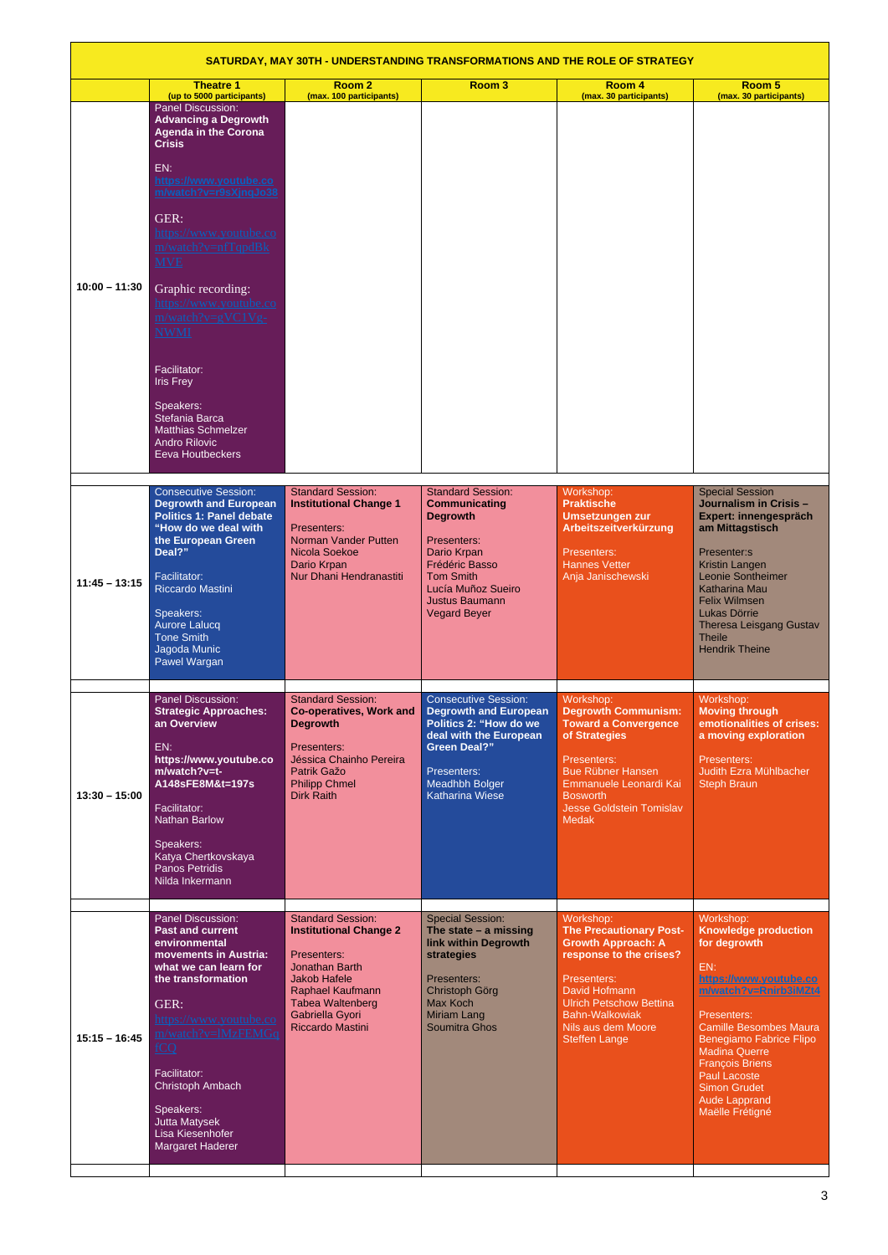|                 | SATURDAY, MAY 30TH - UNDERSTANDING TRANSFORMATIONS AND THE ROLE OF STRATEGY                                                                                                                                                                                                                                                                                                                                                                                             |                                                                                                                                                                                                                       |                                                                                                                                                                                                               |                                                                                                                                                                                                                                              |                                                                                                                                                                                                                                                                                                                            |  |
|-----------------|-------------------------------------------------------------------------------------------------------------------------------------------------------------------------------------------------------------------------------------------------------------------------------------------------------------------------------------------------------------------------------------------------------------------------------------------------------------------------|-----------------------------------------------------------------------------------------------------------------------------------------------------------------------------------------------------------------------|---------------------------------------------------------------------------------------------------------------------------------------------------------------------------------------------------------------|----------------------------------------------------------------------------------------------------------------------------------------------------------------------------------------------------------------------------------------------|----------------------------------------------------------------------------------------------------------------------------------------------------------------------------------------------------------------------------------------------------------------------------------------------------------------------------|--|
|                 | <b>Theatre 1</b><br>(up to 5000 participants)                                                                                                                                                                                                                                                                                                                                                                                                                           | Room <sub>2</sub><br>(max. 100 participants)                                                                                                                                                                          | Room <sub>3</sub>                                                                                                                                                                                             | Room 4<br>(max. 30 participants)                                                                                                                                                                                                             | Room 5<br>(max. 30 participants)                                                                                                                                                                                                                                                                                           |  |
| $10:00 - 11:30$ | Panel Discussion:<br><b>Advancing a Degrowth</b><br><b>Agenda in the Corona</b><br><b>Crisis</b><br>EN:<br>https://www.youtube.co<br>m/watch?v=r9sXjnqJo38<br>GER:<br><u>https://www.youtube.co</u><br>m/watch?v=nfTqpdBk<br><b>MVE</b><br>Graphic recording:<br>https://www.youtube.co<br>m/watch?v=gVC1Vg-<br><u>NWMI</u><br>Facilitator:<br><b>Iris Frey</b><br>Speakers:<br>Stefania Barca<br><b>Matthias Schmelzer</b><br><b>Andro Rilovic</b><br>Eeva Houtbeckers |                                                                                                                                                                                                                       |                                                                                                                                                                                                               |                                                                                                                                                                                                                                              |                                                                                                                                                                                                                                                                                                                            |  |
| $11:45 - 13:15$ | <b>Consecutive Session:</b><br><b>Degrowth and European</b><br><b>Politics 1: Panel debate</b><br>"How do we deal with<br>the European Green<br>Deal?"<br>Facilitator:<br>Riccardo Mastini<br>Speakers:<br><b>Aurore Lalucq</b><br><b>Tone Smith</b><br>Jagoda Munic<br>Pawel Wargan                                                                                                                                                                                    | <b>Standard Session:</b><br><b>Institutional Change 1</b><br>Presenters:<br>Norman Vander Putten<br>Nicola Soekoe<br>Dario Krpan<br>Nur Dhani Hendranastiti                                                           | <b>Standard Session:</b><br><b>Communicating</b><br><b>Degrowth</b><br>Presenters:<br>Dario Krpan<br>Frédéric Basso<br><b>Tom Smith</b><br>Lucía Muñoz Sueiro<br><b>Justus Baumann</b><br><b>Vegard Beyer</b> | Workshop:<br><b>Praktische</b><br><b>Umsetzungen zur</b><br>Arbeitszeitverkürzung<br>Presenters:<br><b>Hannes Vetter</b><br>Anja Janischewski                                                                                                | <b>Special Session</b><br>Journalism in Crisis -<br>Expert: innengespräch<br>am Mittagstisch<br>Presenter:s<br>Kristin Langen<br>Leonie Sontheimer<br><b>Katharina Mau</b><br><b>Felix Wilmsen</b><br>Lukas Dörrie<br><b>Theresa Leisgang Gustav</b><br><b>Theile</b><br><b>Hendrik Theine</b>                             |  |
| $13:30 - 15:00$ | Panel Discussion:<br><b>Strategic Approaches:</b><br>an Overview<br>EN:<br>https://www.youtube.co<br>m/watch?v=t-<br>A148sFE8M&t=197s<br>Facilitator:<br>Nathan Barlow<br>Speakers:<br>Katya Chertkovskaya<br><b>Panos Petridis</b><br>Nilda Inkermann                                                                                                                                                                                                                  | <b>Standard Session:</b><br><b>Co-operatives, Work and</b><br><b>Degrowth</b><br>Presenters:<br>Jéssica Chainho Pereira<br>Patrik Gažo<br><b>Philipp Chmel</b><br><b>Dirk Raith</b>                                   | <b>Consecutive Session:</b><br><b>Degrowth and European</b><br>Politics 2: "How do we<br>deal with the European<br><b>Green Deal?"</b><br>Presenters:<br><b>Meadhbh Bolger</b><br><b>Katharina Wiese</b>      | Workshop:<br><b>Degrowth Communism:</b><br><b>Toward a Convergence</b><br>of Strategies<br>Presenters:<br><b>Bue Rübner Hansen</b><br>Emmanuele Leonardi Kai<br><b>Bosworth</b><br><b>Jesse Goldstein Tomislav</b><br><b>Medak</b>           | Workshop:<br><b>Moving through</b><br>emotionalities of crises:<br>a moving exploration<br>Presenters:<br>Judith Ezra Mühlbacher<br><b>Steph Braun</b>                                                                                                                                                                     |  |
| $15:15 - 16:45$ | Panel Discussion:<br><b>Past and current</b><br>environmental<br>movements in Austria:<br>what we can learn for<br>the transformation<br>GER:<br>https://www.youtube.co<br>m/watch?v=lMzFEMGq<br><u>fCQ</u><br>Facilitator:<br>Christoph Ambach<br>Speakers:<br>Jutta Matysek<br>Lisa Kiesenhofer<br>Margaret Haderer                                                                                                                                                   | <b>Standard Session:</b><br><b>Institutional Change 2</b><br>Presenters:<br><b>Jonathan Barth</b><br><b>Jakob Hafele</b><br>Raphael Kaufmann<br><b>Tabea Waltenberg</b><br>Gabriella Gyori<br><b>Riccardo Mastini</b> | <b>Special Session:</b><br>The state $-$ a missing<br>link within Degrowth<br>strategies<br>Presenters:<br>Christoph Görg<br>Max Koch<br>Miriam Lang<br><b>Soumitra Ghos</b>                                  | Workshop:<br><b>The Precautionary Post-</b><br><b>Growth Approach: A</b><br>response to the crises?<br>Presenters:<br>David Hofmann<br><b>Ulrich Petschow Bettina</b><br><b>Bahn-Walkowiak</b><br>Nils aus dem Moore<br><b>Steffen Lange</b> | Workshop:<br><b>Knowledge production</b><br>for degrowth<br>EN:<br>https://www.youtube.co<br>m/watch?v=Rnirb3iMZt4<br>Presenters:<br><b>Camille Besombes Maura</b><br>Benegiamo Fabrice Flipo<br><b>Madina Querre</b><br><b>François Briens</b><br>Paul Lacoste<br><b>Simon Grudet</b><br>Aude Lapprand<br>Maëlle Frétigné |  |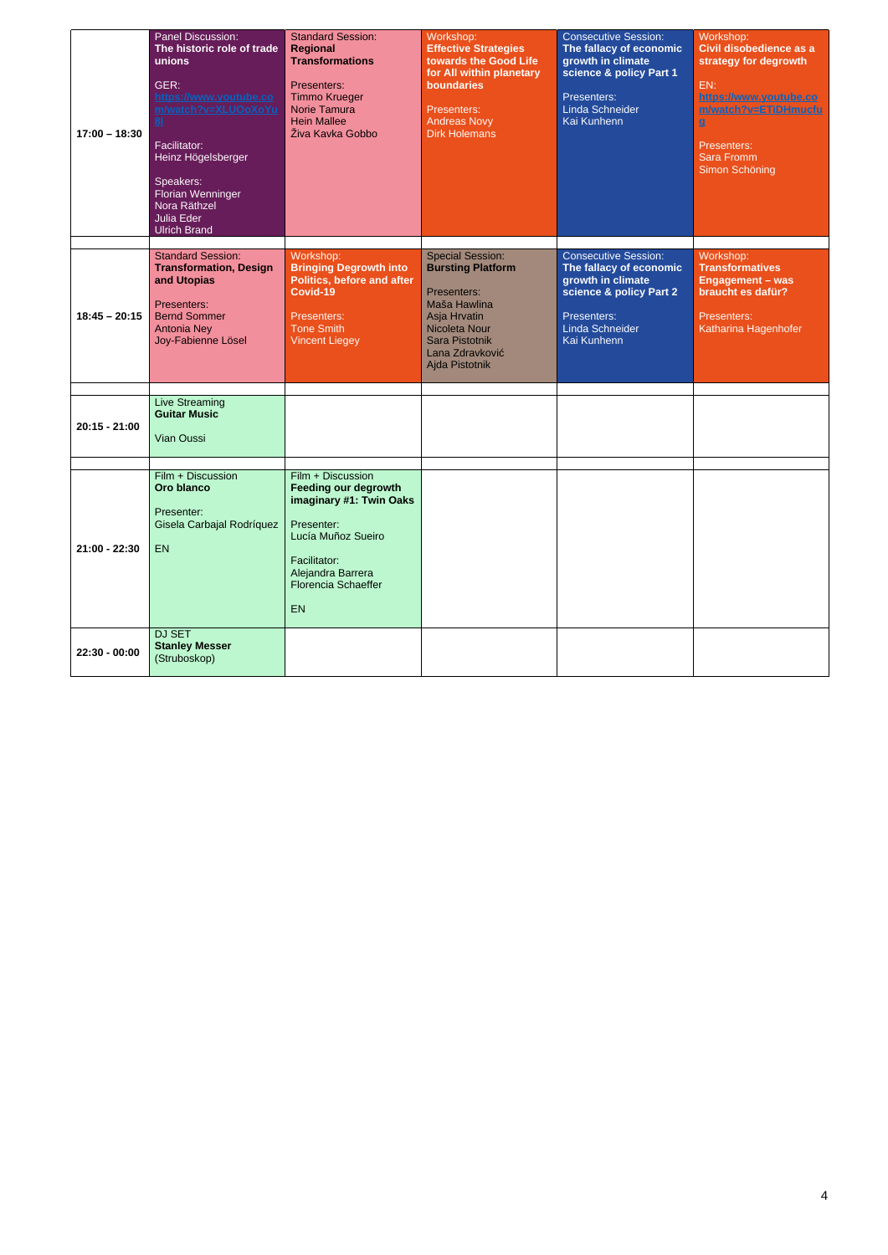4

| $17:00 - 18:30$ | <b>Panel Discussion:</b><br>The historic role of trade<br>unions<br>GER:<br>https://www.youtube.co<br>m/watch?v=XLUOoXoYu<br>8 <sub>1</sub><br>Facilitator:<br>Heinz Högelsberger<br>Speakers:<br>Florian Wenninger<br>Nora Räthzel<br><b>Julia Eder</b><br><b>Ulrich Brand</b> | <b>Standard Session:</b><br>Regional<br><b>Transformations</b><br>Presenters:<br><b>Timmo Krueger</b><br>Norie Tamura<br><b>Hein Mallee</b><br>Živa Kavka Gobbo                          | Workshop:<br><b>Effective Strategies</b><br>towards the Good Life<br>for All within planetary<br>boundaries<br>Presenters:<br><b>Andreas Novy</b><br><b>Dirk Holemans</b>         | <b>Consecutive Session:</b><br>The fallacy of economic<br>growth in climate<br>science & policy Part 1<br>Presenters:<br>Linda Schneider<br>Kai Kunhenn | Workshop:<br>Civil disobedience as a<br>strategy for degrowth<br>EN:<br>https://www.youtube.co<br>m/watch?v=ETiDHmucfu<br>$\mathbf{g}$<br>Presenters:<br><b>Sara Fromm</b><br>Simon Schöning |
|-----------------|---------------------------------------------------------------------------------------------------------------------------------------------------------------------------------------------------------------------------------------------------------------------------------|------------------------------------------------------------------------------------------------------------------------------------------------------------------------------------------|-----------------------------------------------------------------------------------------------------------------------------------------------------------------------------------|---------------------------------------------------------------------------------------------------------------------------------------------------------|----------------------------------------------------------------------------------------------------------------------------------------------------------------------------------------------|
| $18:45 - 20:15$ | <b>Standard Session:</b><br><b>Transformation, Design</b><br>and Utopias<br>Presenters:<br><b>Bernd Sommer</b><br><b>Antonia Ney</b><br>Joy-Fabienne Lösel                                                                                                                      | Workshop:<br><b>Bringing Degrowth into</b><br><b>Politics, before and after</b><br>Covid-19<br>Presenters:<br><b>Tone Smith</b><br><b>Vincent Liegey</b>                                 | <b>Special Session:</b><br><b>Bursting Platform</b><br>Presenters:<br>Maša Hawlina<br>Asja Hrvatin<br>Nicoleta Nour<br><b>Sara Pistotnik</b><br>Lana Zdravković<br>Ajda Pistotnik | <b>Consecutive Session:</b><br>The fallacy of economic<br>growth in climate<br>science & policy Part 2<br>Presenters:<br>Linda Schneider<br>Kai Kunhenn | Workshop:<br><b>Transformatives</b><br><b>Engagement - was</b><br>braucht es dafür?<br>Presenters:<br>Katharina Hagenhofer                                                                   |
| $20:15 - 21:00$ | <b>Live Streaming</b><br><b>Guitar Music</b><br><b>Vian Oussi</b>                                                                                                                                                                                                               |                                                                                                                                                                                          |                                                                                                                                                                                   |                                                                                                                                                         |                                                                                                                                                                                              |
| 21:00 - 22:30   | Film + Discussion<br>Oro blanco<br>Presenter:<br>Gisela Carbajal Rodríquez<br><b>EN</b>                                                                                                                                                                                         | Film + Discussion<br><b>Feeding our degrowth</b><br>imaginary #1: Twin Oaks<br>Presenter:<br>Lucía Muñoz Sueiro<br>Facilitator:<br>Alejandra Barrera<br><b>Florencia Schaeffer</b><br>EN |                                                                                                                                                                                   |                                                                                                                                                         |                                                                                                                                                                                              |
| 22:30 - 00:00   | DJ SET<br><b>Stanley Messer</b><br>(Struboskop)                                                                                                                                                                                                                                 |                                                                                                                                                                                          |                                                                                                                                                                                   |                                                                                                                                                         |                                                                                                                                                                                              |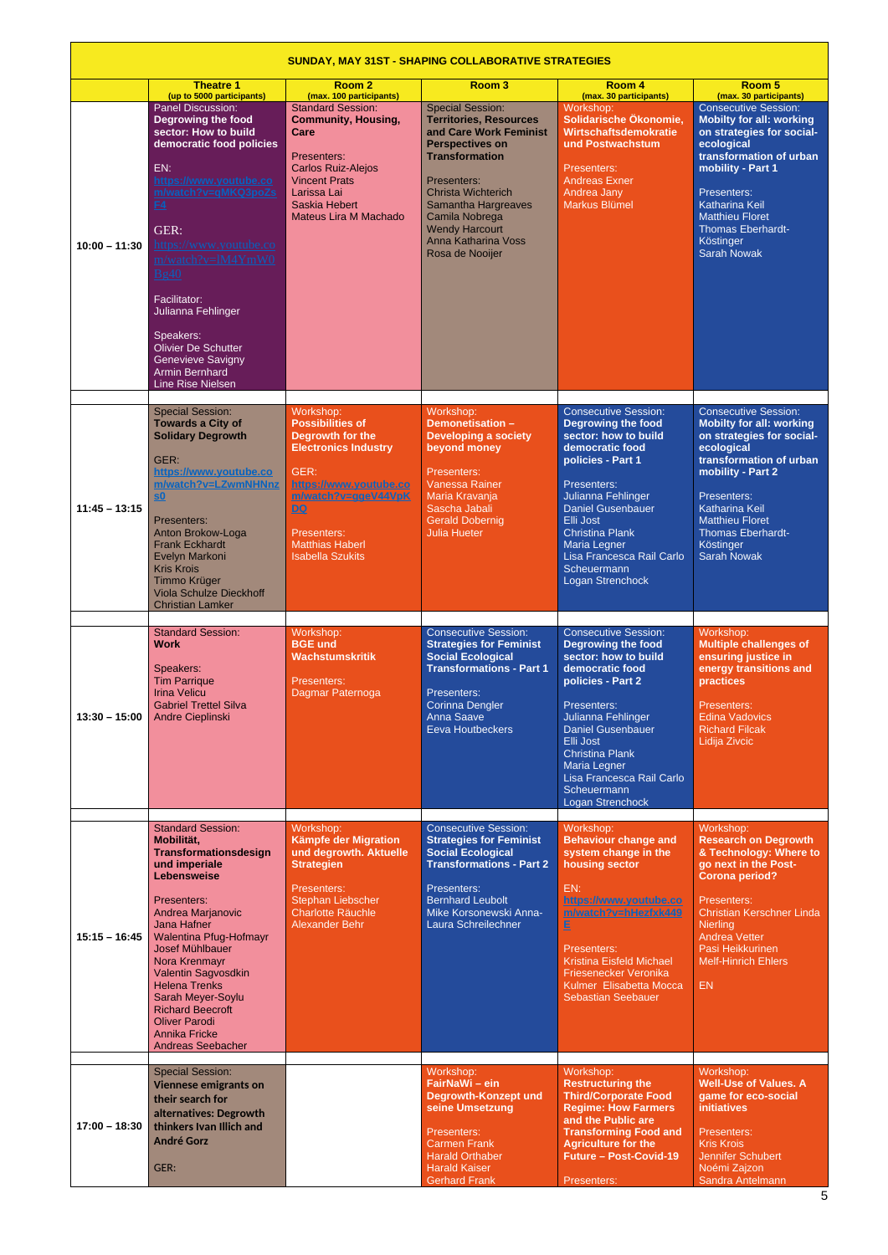|                 | <b>SUNDAY, MAY 31ST - SHAPING COLLABORATIVE STRATEGIES</b>                                                                                                                                                                                                                                                                                                                                                             |                                                                                                                                                                                                                                         |                                                                                                                                                                                                                                                                                               |                                                                                                                                                                                                                                                                                                                         |                                                                                                                                                                                                                                                                                            |  |  |
|-----------------|------------------------------------------------------------------------------------------------------------------------------------------------------------------------------------------------------------------------------------------------------------------------------------------------------------------------------------------------------------------------------------------------------------------------|-----------------------------------------------------------------------------------------------------------------------------------------------------------------------------------------------------------------------------------------|-----------------------------------------------------------------------------------------------------------------------------------------------------------------------------------------------------------------------------------------------------------------------------------------------|-------------------------------------------------------------------------------------------------------------------------------------------------------------------------------------------------------------------------------------------------------------------------------------------------------------------------|--------------------------------------------------------------------------------------------------------------------------------------------------------------------------------------------------------------------------------------------------------------------------------------------|--|--|
|                 | <b>Theatre 1</b><br>(up to 5000 participants)                                                                                                                                                                                                                                                                                                                                                                          | Room <sub>2</sub><br>(max. 100 participants)                                                                                                                                                                                            | Room <sub>3</sub>                                                                                                                                                                                                                                                                             | Room 4<br>(max. 30 participants)                                                                                                                                                                                                                                                                                        | Room <sub>5</sub><br>(max. 30 participants)                                                                                                                                                                                                                                                |  |  |
| $10:00 - 11:30$ | <b>Panel Discussion:</b><br><b>Degrowing the food</b><br>sector: How to build<br>democratic food policies<br>EN:<br>https://www.youtube.co<br>m/watch?v=qMKQ3poZs<br>E4<br>GER:<br><u>https://www.youtube.co</u><br>m/watch?v=lM4YmW0<br><b>Bg40</b><br>Facilitator:<br>Julianna Fehlinger<br>Speakers:<br><b>Olivier De Schutter</b><br><b>Genevieve Savigny</b><br><b>Armin Bernhard</b><br><b>Line Rise Nielsen</b> | <b>Standard Session:</b><br><b>Community, Housing,</b><br>Care<br>Presenters:<br><b>Carlos Ruiz-Alejos</b><br><b>Vincent Prats</b><br>Larissa Lai<br>Saskia Hebert<br>Mateus Lira M Machado                                             | <b>Special Session:</b><br><b>Territories, Resources</b><br>and Care Work Feminist<br><b>Perspectives on</b><br><b>Transformation</b><br>Presenters:<br><b>Christa Wichterich</b><br>Samantha Hargreaves<br>Camila Nobrega<br><b>Wendy Harcourt</b><br>Anna Katharina Voss<br>Rosa de Nooijer | Workshop:<br>Solidarische Ökonomie,<br><b>Wirtschaftsdemokratie</b><br>und Postwachstum<br>Presenters:<br><b>Andreas Exner</b><br>Andrea Jany<br><b>Markus Blümel</b>                                                                                                                                                   | <b>Consecutive Session:</b><br><b>Mobilty for all: working</b><br>on strategies for social-<br>ecological<br>transformation of urban<br>mobility - Part 1<br>Presenters:<br><b>Katharina Keil</b><br><b>Matthieu Floret</b><br><b>Thomas Eberhardt-</b><br>Köstinger<br><b>Sarah Nowak</b> |  |  |
| $11:45 - 13:15$ | <b>Special Session:</b><br><b>Towards a City of</b><br><b>Solidary Degrowth</b><br>GER:<br>https://www.youtube.co<br>m/watch?v=LZwmNHNnz<br>$\underline{\mathbf{S}}\underline{\mathbf{0}}$<br>Presenters:<br>Anton Brokow-Loga<br><b>Frank Eckhardt</b><br>Evelyn Markoni<br><b>Kris Krois</b><br>Timmo Krüger<br><b>Viola Schulze Dieckhoff</b><br><b>Christian Lamker</b>                                            | Workshop:<br><b>Possibilities of</b><br>Degrowth for the<br><b>Electronics Industry</b><br>GER:<br>https://www.youtube.co<br>m/watch?v=qgeV44VpK<br>$\overline{DQ}$<br>Presenters:<br><b>Matthias Haberl</b><br><b>Isabella Szukits</b> | Workshop:<br><b>Demonetisation -</b><br><b>Developing a society</b><br>beyond money<br>Presenters:<br><b>Vanessa Rainer</b><br>Maria Kravanja<br>Sascha Jabali<br><b>Gerald Dobernig</b><br><b>Julia Hueter</b>                                                                               | <b>Consecutive Session:</b><br><b>Degrowing the food</b><br>sector: how to build<br>democratic food<br>policies - Part 1<br>Presenters:<br>Julianna Fehlinger<br><b>Daniel Gusenbauer</b><br>Elli Jost<br><b>Christina Plank</b><br><b>Maria Legner</b><br>Lisa Francesca Rail Carlo<br>Scheuermann<br>Logan Strenchock | <b>Consecutive Session:</b><br><b>Mobilty for all: working</b><br>on strategies for social-<br>ecological<br>transformation of urban<br>mobility - Part 2<br>Presenters:<br><b>Katharina Keil</b><br><b>Matthieu Floret</b><br><b>Thomas Eberhardt-</b><br>Köstinger<br><b>Sarah Nowak</b> |  |  |
| $13:30 - 15:00$ | <b>Standard Session:</b><br><b>Work</b><br>Speakers:<br><b>Tim Parrique</b><br><b>Irina Velicu</b><br><b>Gabriel Trettel Silva</b><br>Andre Cieplinski                                                                                                                                                                                                                                                                 | Workshop:<br><b>BGE und</b><br><b>Wachstumskritik</b><br>Presenters:<br>Dagmar Paternoga                                                                                                                                                | <b>Consecutive Session:</b><br><b>Strategies for Feminist</b><br><b>Social Ecological</b><br><b>Transformations - Part 1</b><br>Presenters:<br><b>Corinna Dengler</b><br><b>Anna Saave</b><br><b>Eeva Houtbeckers</b>                                                                         | <b>Consecutive Session:</b><br><b>Degrowing the food</b><br>sector: how to build<br>democratic food<br>policies - Part 2<br>Presenters:<br>Julianna Fehlinger<br><b>Daniel Gusenbauer</b><br>Elli Jost<br><b>Christina Plank</b><br>Maria Legner<br>Lisa Francesca Rail Carlo<br>Scheuermann<br>Logan Strenchock        | Workshop:<br><b>Multiple challenges of</b><br>ensuring justice in<br>energy transitions and<br>practices<br>Presenters:<br><b>Edina Vadovics</b><br><b>Richard Filcak</b><br>Lidija Zivcic                                                                                                 |  |  |
| $15:15 - 16:45$ | <b>Standard Session:</b><br>Mobilität,<br>Transformationsdesign<br>und imperiale<br>Lebensweise<br>Presenters:<br>Andrea Marjanovic<br>Jana Hafner<br>Walentina Pfug-Hofmayr<br><b>Josef Mühlbauer</b><br>Nora Krenmayr<br>Valentin Sagvosdkin<br><b>Helena Trenks</b><br>Sarah Meyer-Soylu<br><b>Richard Beecroft</b><br><b>Oliver Parodi</b><br><b>Annika Fricke</b><br><b>Andreas Seebacher</b>                     | Workshop:<br>Kämpfe der Migration<br>und degrowth. Aktuelle<br><b>Strategien</b><br>Presenters:<br>Stephan Liebscher<br><b>Charlotte Räuchle</b><br><b>Alexander Behr</b>                                                               | <b>Consecutive Session:</b><br><b>Strategies for Feminist</b><br><b>Social Ecological</b><br><b>Transformations - Part 2</b><br>Presenters:<br><b>Bernhard Leubolt</b><br>Mike Korsonewski Anna-<br>Laura Schreilechner                                                                       | Workshop:<br><b>Behaviour change and</b><br>system change in the<br>housing sector<br>EN:<br>https://www.youtube.co<br>m/watch?v=hHezfxk449<br>E<br>Presenters:<br>Kristina Eisfeld Michael<br>Friesenecker Veronika<br>Kulmer Elisabetta Mocca<br><b>Sebastian Seebauer</b>                                            | Workshop:<br><b>Research on Degrowth</b><br>& Technology: Where to<br>go next in the Post-<br><b>Corona period?</b><br>Presenters:<br>Christian Kerschner Linda<br><b>Nierling</b><br><b>Andrea Vetter</b><br>Pasi Heikkurinen<br><b>Melf-Hinrich Ehlers</b><br><b>EN</b>                  |  |  |
| $17:00 - 18:30$ | <b>Special Session:</b><br><b>Viennese emigrants on</b><br>their search for<br>alternatives: Degrowth<br>thinkers Ivan Illich and<br><b>André Gorz</b><br>GER:                                                                                                                                                                                                                                                         |                                                                                                                                                                                                                                         | Workshop:<br>FairNaWi - ein<br><b>Degrowth-Konzept und</b><br>seine Umsetzung<br>Presenters:<br><b>Carmen Frank</b><br><b>Harald Orthaber</b><br><b>Harald Kaiser</b><br><b>Gerhard Frank</b>                                                                                                 | Workshop:<br><b>Restructuring the</b><br><b>Third/Corporate Food</b><br><b>Regime: How Farmers</b><br>and the Public are<br><b>Transforming Food and</b><br><b>Agriculture for the</b><br><b>Future - Post-Covid-19</b><br>Presenters:                                                                                  | Workshop:<br><b>Well-Use of Values. A</b><br>game for eco-social<br><b>initiatives</b><br>Presenters:<br><b>Kris Krois</b><br><b>Jennifer Schubert</b><br>Noémi Zajzon<br>Sandra Antelmann                                                                                                 |  |  |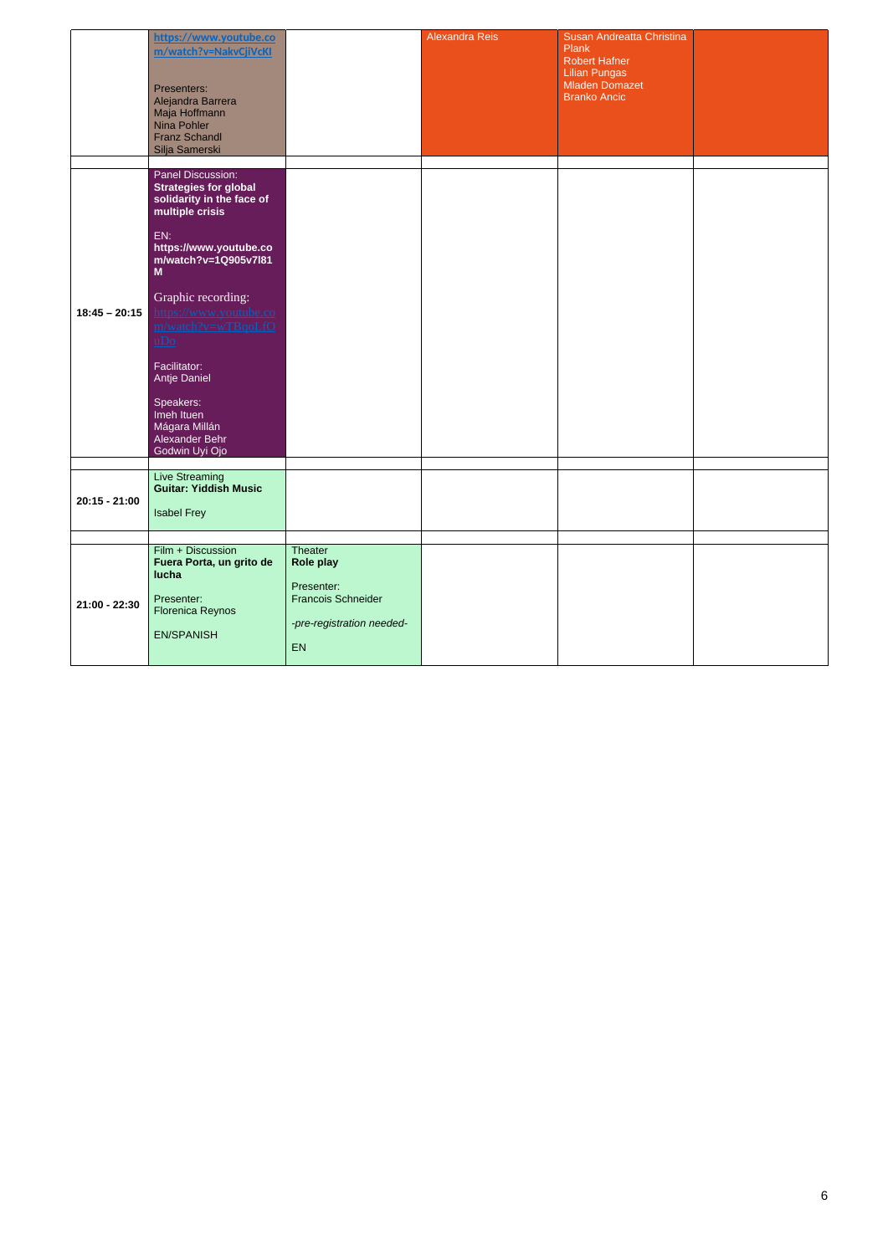|                 | https://www.youtube.co<br>m/watch?v=NakvCjiVcKI<br>Presenters:<br>Alejandra Barrera<br>Maja Hoffmann<br>Nina Pohler<br><b>Franz Schandl</b><br>Silja Samerski                                            |                                                                                                    | <b>Alexandra Reis</b> | Susan Andreatta Christina<br><b>Plank</b><br><b>Robert Hafner</b><br><b>Lilian Pungas</b><br><b>Mladen Domazet</b><br><b>Branko Ancic</b> |  |
|-----------------|----------------------------------------------------------------------------------------------------------------------------------------------------------------------------------------------------------|----------------------------------------------------------------------------------------------------|-----------------------|-------------------------------------------------------------------------------------------------------------------------------------------|--|
|                 | Panel Discussion:<br><b>Strategies for global</b><br>solidarity in the face of<br>multiple crisis<br>EN:<br>https://www.youtube.co<br>m/watch?v=1Q905v7l81<br>M                                          |                                                                                                    |                       |                                                                                                                                           |  |
| $18:45 - 20:15$ | Graphic recording:<br>https://www.youtube.co<br>m/watch?v=wTBqoLfO<br>$\overline{u}$ D <sub>0</sub><br>Facilitator:<br><b>Antje Daniel</b><br>Speakers:<br>Imeh Ituen<br>Mágara Millán<br>Alexander Behr |                                                                                                    |                       |                                                                                                                                           |  |
| $20:15 - 21:00$ | Godwin Uyi Ojo<br><b>Live Streaming</b><br><b>Guitar: Yiddish Music</b><br><b>Isabel Frey</b>                                                                                                            |                                                                                                    |                       |                                                                                                                                           |  |
| 21:00 - 22:30   | Film + Discussion<br>Fuera Porta, un grito de<br>lucha<br>Presenter:<br><b>Florenica Reynos</b><br><b>EN/SPANISH</b>                                                                                     | Theater<br>Role play<br>Presenter:<br><b>Francois Schneider</b><br>-pre-registration needed-<br>EN |                       |                                                                                                                                           |  |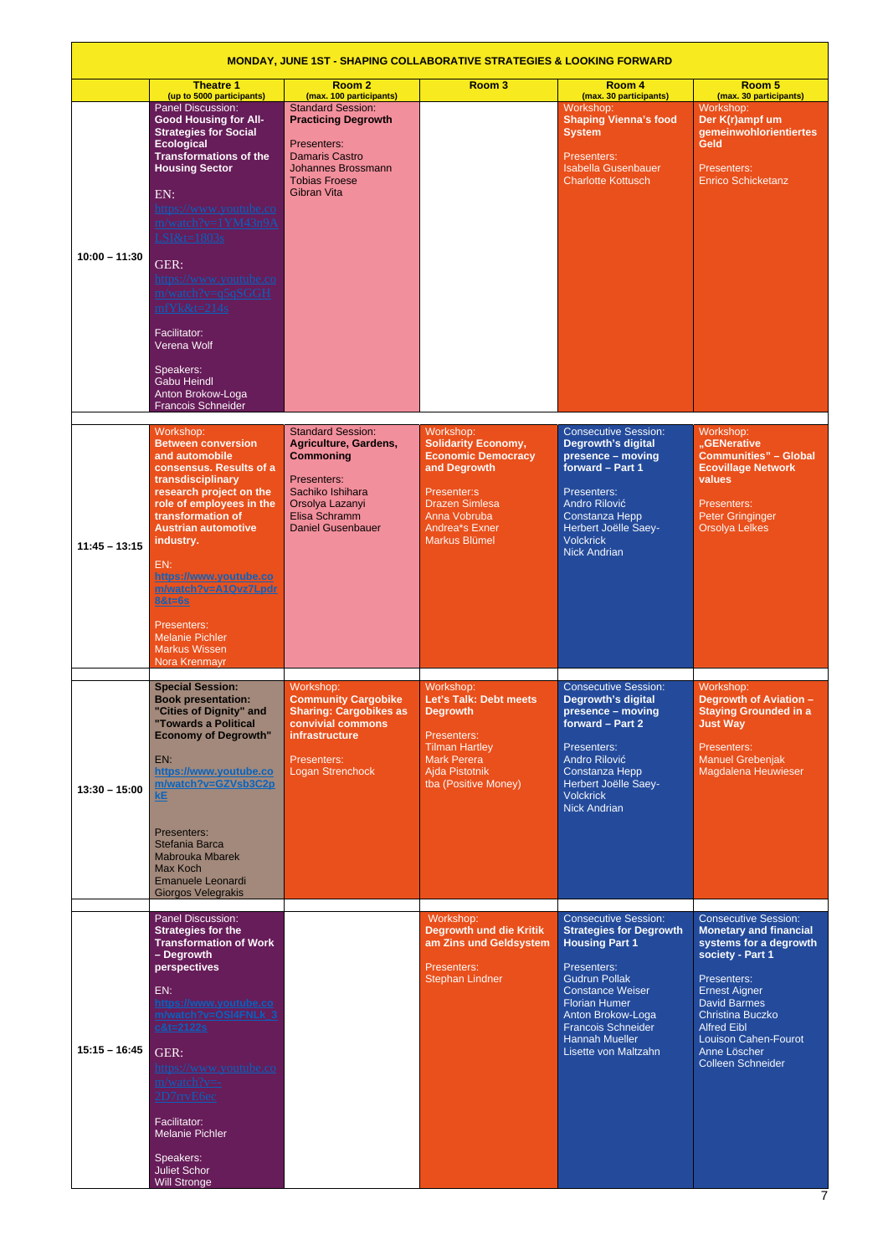|                 | <b>MONDAY, JUNE 1ST - SHAPING COLLABORATIVE STRATEGIES &amp; LOOKING FORWARD</b>                                                                                                                                                                                                                                                                                                                                                                 |                                                                                                                                                                           |                                                                                                                                                                                        |                                                                                                                                                                                                                                                                              |                                                                                                                                                                                                                                                                                             |  |  |
|-----------------|--------------------------------------------------------------------------------------------------------------------------------------------------------------------------------------------------------------------------------------------------------------------------------------------------------------------------------------------------------------------------------------------------------------------------------------------------|---------------------------------------------------------------------------------------------------------------------------------------------------------------------------|----------------------------------------------------------------------------------------------------------------------------------------------------------------------------------------|------------------------------------------------------------------------------------------------------------------------------------------------------------------------------------------------------------------------------------------------------------------------------|---------------------------------------------------------------------------------------------------------------------------------------------------------------------------------------------------------------------------------------------------------------------------------------------|--|--|
|                 | <b>Theatre 1</b><br>(up to 5000 participants)                                                                                                                                                                                                                                                                                                                                                                                                    | Room <sub>2</sub><br>(max. 100 participants)                                                                                                                              | Room <sub>3</sub>                                                                                                                                                                      | Room 4<br>(max. 30 participants)                                                                                                                                                                                                                                             | Room 5<br>(max. 30 participants)                                                                                                                                                                                                                                                            |  |  |
| $10:00 - 11:30$ | <b>Panel Discussion:</b><br><b>Good Housing for All-</b><br><b>Strategies for Social</b><br><b>Ecological</b><br><b>Transformations of the</b><br><b>Housing Sector</b><br>EN:<br><u>https://www.youtube.co</u><br>m/watch?v=1YM43n9A<br>LSI&t=1803s<br>GER:<br>https://www.youtube.co<br>m/watch?v=q5qSGGH<br>$mfYk&t=214s$<br>Facilitator:<br>Verena Wolf<br>Speakers:<br><b>Gabu Heindl</b><br>Anton Brokow-Loga<br><b>Francois Schneider</b> | <b>Standard Session:</b><br><b>Practicing Degrowth</b><br>Presenters:<br><b>Damaris Castro</b><br><b>Johannes Brossmann</b><br><b>Tobias Froese</b><br><b>Gibran Vita</b> |                                                                                                                                                                                        | Workshop:<br><b>Shaping Vienna's food</b><br><b>System</b><br>Presenters:<br><b>Isabella Gusenbauer</b><br><b>Charlotte Kottusch</b>                                                                                                                                         | Workshop:<br>Der K(r)ampf um<br>gemeinwohlorientiertes<br><b>Geld</b><br>Presenters:<br><b>Enrico Schicketanz</b>                                                                                                                                                                           |  |  |
| $11:45 - 13:15$ | Workshop:<br><b>Between conversion</b><br>and automobile<br>consensus. Results of a<br>transdisciplinary<br>research project on the<br>role of employees in the<br>transformation of<br><b>Austrian automotive</b><br>industry.<br>EN:<br>https://www.youtube.co<br>m/watch?v=A1Qvz7Lpdr<br>8&t=6s<br>Presenters:<br><b>Melanie Pichler</b><br><b>Markus Wissen</b><br>Nora Krenmayr                                                             | <b>Standard Session:</b><br>Agriculture, Gardens,<br><b>Commoning</b><br>Presenters:<br>Sachiko Ishihara<br>Orsolya Lazanyi<br>Elisa Schramm<br><b>Daniel Gusenbauer</b>  | Workshop:<br><b>Solidarity Economy,</b><br><b>Economic Democracy</b><br>and Degrowth<br>Presenter:s<br><b>Drazen Simlesa</b><br>Anna Vobruba<br><b>Andrea*s Exner</b><br>Markus Blümel | <b>Consecutive Session:</b><br><b>Degrowth's digital</b><br>presence - moving<br>forward - Part 1<br>Presenters:<br><b>Andro Rilović</b><br>Constanza Hepp<br>Herbert Joëlle Saey-<br><b>Volckrick</b><br><b>Nick Andrian</b>                                                | Workshop:<br>"GENerative<br><b>Communities" - Global</b><br><b>Ecovillage Network</b><br>values<br>Presenters:<br><b>Peter Gringinger</b><br><b>Orsolya Lelkes</b>                                                                                                                          |  |  |
| $13:30 - 15:00$ | <b>Special Session:</b><br><b>Book presentation:</b><br>"Cities of Dignity" and<br>"Towards a Political<br><b>Economy of Degrowth"</b><br>EN:<br>https://www.youtube.co<br>m/watch?v=GZVsb3C2p<br>kE<br>Presenters:<br>Stefania Barca<br><b>Mabrouka Mbarek</b><br>Max Koch<br>Emanuele Leonardi<br><b>Giorgos Velegrakis</b>                                                                                                                    | Workshop:<br><b>Community Cargobike</b><br><b>Sharing: Cargobikes as</b><br>convivial commons<br><b>infrastructure</b><br>Presenters:<br>Logan Strenchock                 | Workshop:<br>Let's Talk: Debt meets<br><b>Degrowth</b><br>Presenters:<br><b>Tilman Hartley</b><br><b>Mark Perera</b><br>Ajda Pistotnik<br>tba (Positive Money)                         | <b>Consecutive Session:</b><br><b>Degrowth's digital</b><br>presence - moving<br>forward - Part 2<br>Presenters:<br>Andro Rilović<br>Constanza Hepp<br>Herbert Joëlle Saey-<br><b>Volckrick</b><br><b>Nick Andrian</b>                                                       | Workshop:<br><b>Degrowth of Aviation -</b><br><b>Staying Grounded in a</b><br><b>Just Way</b><br>Presenters:<br><b>Manuel Grebenjak</b><br>Magdalena Heuwieser                                                                                                                              |  |  |
| $15:15 - 16:45$ | Panel Discussion:<br><b>Strategies for the</b><br><b>Transformation of Work</b><br>- Degrowth<br>perspectives<br>EN:<br>https://www.youtube.co<br>m/watch?v=OSI4FNLk 3<br>$c&t=2122s$<br>GER:<br><u> https://www.youtube.co</u><br>$m/watch?v=$ -<br>2D7rrvE6ec<br>Facilitator:<br><b>Melanie Pichler</b><br>Speakers:<br><b>Juliet Schor</b><br><b>Will Stronge</b>                                                                             |                                                                                                                                                                           | Workshop:<br><b>Degrowth und die Kritik</b><br>am Zins und Geldsystem<br>Presenters:<br><b>Stephan Lindner</b>                                                                         | <b>Consecutive Session:</b><br><b>Strategies for Degrowth</b><br><b>Housing Part 1</b><br>Presenters:<br><b>Gudrun Pollak</b><br>Constance Weiser<br><b>Florian Humer</b><br>Anton Brokow-Loga<br><b>Francois Schneider</b><br><b>Hannah Mueller</b><br>Lisette von Maltzahn | <b>Consecutive Session:</b><br><b>Monetary and financial</b><br>systems for a degrowth<br>society - Part 1<br>Presenters:<br>Ernest Aigner<br><b>David Barmes</b><br>Christina Buczko<br><b>Alfred Eibl</b><br><b>Louison Cahen-Fourot</b><br>Anne Löscher<br><b>Colleen Schneider</b><br>7 |  |  |